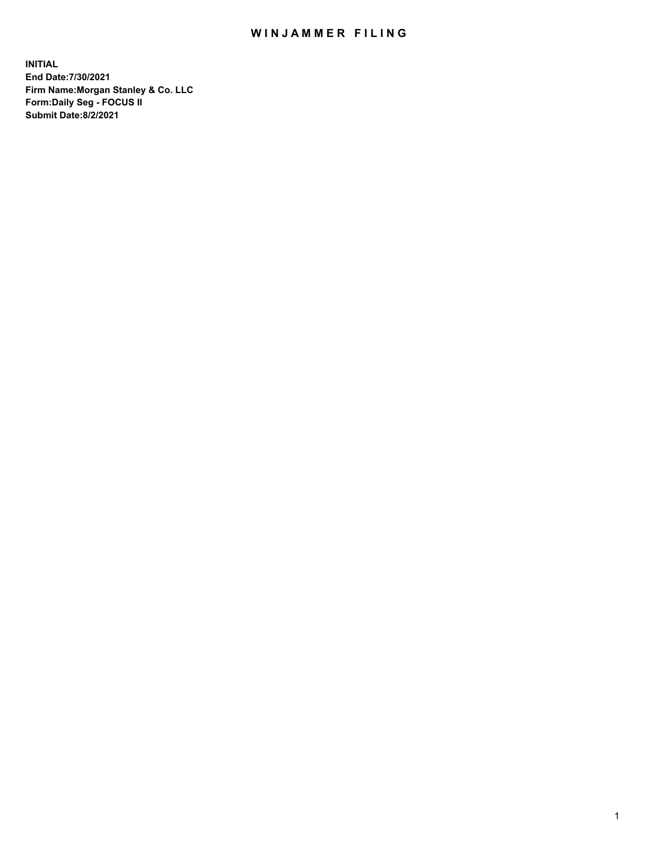## WIN JAMMER FILING

**INITIAL End Date:7/30/2021 Firm Name:Morgan Stanley & Co. LLC Form:Daily Seg - FOCUS II Submit Date:8/2/2021**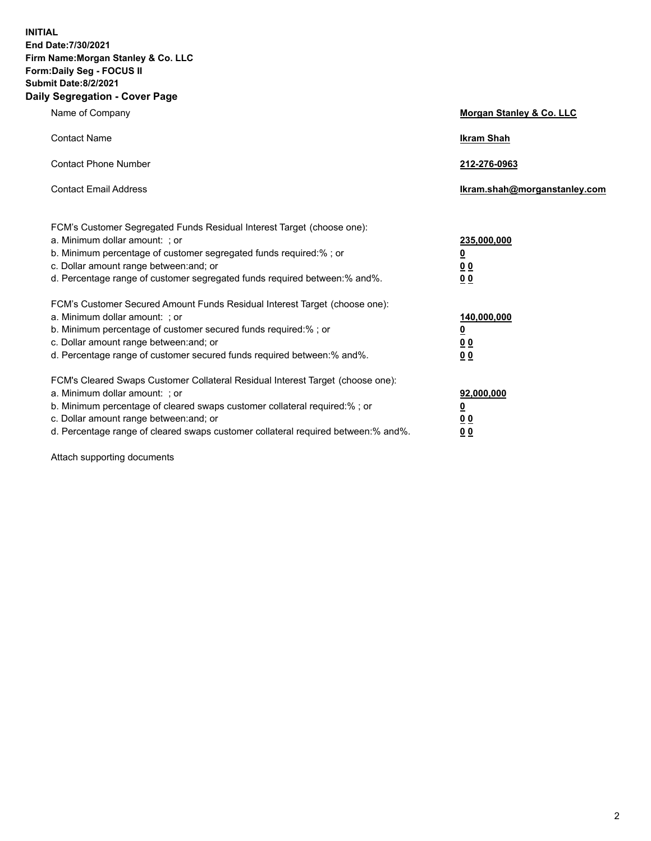**INITIAL End Date:7/30/2021 Firm Name:Morgan Stanley & Co. LLC Form:Daily Seg - FOCUS II Submit Date:8/2/2021 Daily Segregation - Cover Page**

| Name of Company                                                                                                                                                                                                                                                                                                                | Morgan Stanley & Co. LLC                                    |
|--------------------------------------------------------------------------------------------------------------------------------------------------------------------------------------------------------------------------------------------------------------------------------------------------------------------------------|-------------------------------------------------------------|
| <b>Contact Name</b>                                                                                                                                                                                                                                                                                                            | <b>Ikram Shah</b>                                           |
| <b>Contact Phone Number</b>                                                                                                                                                                                                                                                                                                    | 212-276-0963                                                |
| <b>Contact Email Address</b>                                                                                                                                                                                                                                                                                                   | Ikram.shah@morganstanley.com                                |
| FCM's Customer Segregated Funds Residual Interest Target (choose one):<br>a. Minimum dollar amount: ; or<br>b. Minimum percentage of customer segregated funds required:% ; or<br>c. Dollar amount range between: and; or<br>d. Percentage range of customer segregated funds required between:% and%.                         | 235,000,000<br><u>0</u><br>0 <sup>0</sup><br>00             |
| FCM's Customer Secured Amount Funds Residual Interest Target (choose one):<br>a. Minimum dollar amount: ; or<br>b. Minimum percentage of customer secured funds required:% ; or<br>c. Dollar amount range between: and; or<br>d. Percentage range of customer secured funds required between:% and%.                           | 140,000,000<br><u>0</u><br>0 <sub>0</sub><br>0 <sub>0</sub> |
| FCM's Cleared Swaps Customer Collateral Residual Interest Target (choose one):<br>a. Minimum dollar amount: ; or<br>b. Minimum percentage of cleared swaps customer collateral required:% ; or<br>c. Dollar amount range between: and; or<br>d. Percentage range of cleared swaps customer collateral required between:% and%. | 92,000,000<br><u>0</u><br>0 Q<br>0 <sub>0</sub>             |

Attach supporting documents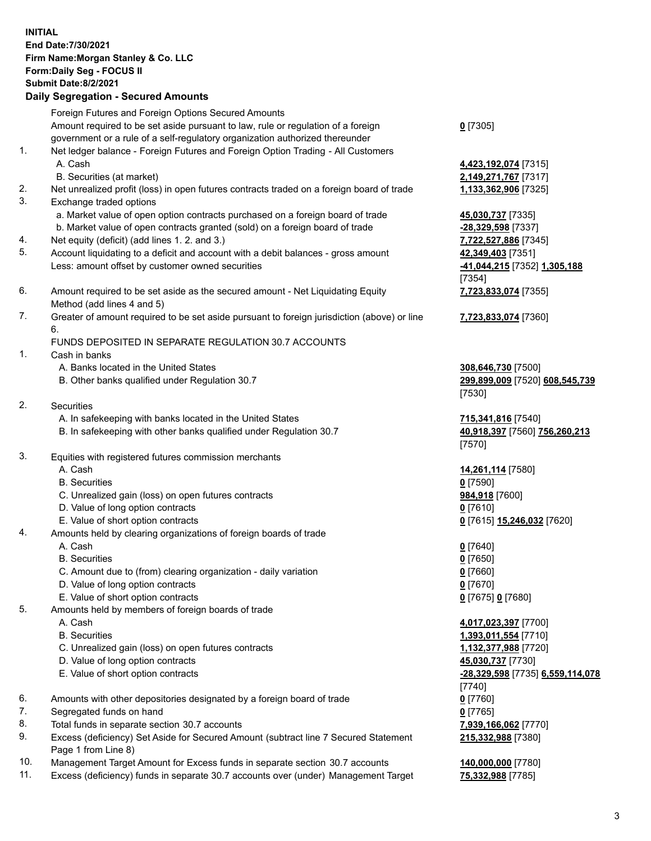| <b>INITIAL</b> | End Date: 7/30/2021<br>Firm Name: Morgan Stanley & Co. LLC<br>Form: Daily Seg - FOCUS II<br><b>Submit Date:8/2/2021</b><br><b>Daily Segregation - Secured Amounts</b> |                                                                |
|----------------|-----------------------------------------------------------------------------------------------------------------------------------------------------------------------|----------------------------------------------------------------|
|                | Foreign Futures and Foreign Options Secured Amounts                                                                                                                   |                                                                |
|                | Amount required to be set aside pursuant to law, rule or regulation of a foreign<br>government or a rule of a self-regulatory organization authorized thereunder      | $0$ [7305]                                                     |
| 1.             | Net ledger balance - Foreign Futures and Foreign Option Trading - All Customers<br>A. Cash                                                                            | 4,423,192,074 [7315]                                           |
|                | B. Securities (at market)                                                                                                                                             | 2,149,271,767 [7317]                                           |
| 2.<br>3.       | Net unrealized profit (loss) in open futures contracts traded on a foreign board of trade<br>Exchange traded options                                                  | 1,133,362,906 [7325]                                           |
|                | a. Market value of open option contracts purchased on a foreign board of trade<br>b. Market value of open contracts granted (sold) on a foreign board of trade        | 45,030,737 [7335]<br>-28,329,598 [7337]                        |
| 4.<br>5.       | Net equity (deficit) (add lines 1. 2. and 3.)                                                                                                                         | 7,722,527,886 [7345]                                           |
|                | Account liquidating to a deficit and account with a debit balances - gross amount<br>Less: amount offset by customer owned securities                                 | 42,349,403 [7351]<br>-41,044,215 [7352] 1,305,188<br>[7354]    |
| 6.             | Amount required to be set aside as the secured amount - Net Liquidating Equity<br>Method (add lines 4 and 5)                                                          | 7,723,833,074 [7355]                                           |
| 7.             | Greater of amount required to be set aside pursuant to foreign jurisdiction (above) or line<br>6.                                                                     | 7,723,833,074 [7360]                                           |
| 1.             | FUNDS DEPOSITED IN SEPARATE REGULATION 30.7 ACCOUNTS<br>Cash in banks                                                                                                 |                                                                |
|                | A. Banks located in the United States<br>B. Other banks qualified under Regulation 30.7                                                                               | 308,646,730 [7500]<br>299,899,009 [7520] 608,545,739<br>[7530] |
| 2.             | Securities                                                                                                                                                            |                                                                |
|                | A. In safekeeping with banks located in the United States<br>B. In safekeeping with other banks qualified under Regulation 30.7                                       | 715,341,816 [7540]<br>40,918,397 [7560] 756,260,213<br>[7570]  |
| 3.             | Equities with registered futures commission merchants                                                                                                                 |                                                                |
|                | A. Cash                                                                                                                                                               | 14,261,114 [7580]                                              |
|                | <b>B.</b> Securities                                                                                                                                                  | $0$ [7590]                                                     |
|                | C. Unrealized gain (loss) on open futures contracts                                                                                                                   | 984,918 [7600]                                                 |
|                | D. Value of long option contracts<br>E. Value of short option contracts                                                                                               | $0$ [7610]                                                     |
| 4.             | Amounts held by clearing organizations of foreign boards of trade                                                                                                     | 0 [7615] 15,246,032 [7620]                                     |
|                | A. Cash                                                                                                                                                               | $0$ [7640]                                                     |
|                | <b>B.</b> Securities                                                                                                                                                  | $0$ [7650]                                                     |
|                | C. Amount due to (from) clearing organization - daily variation                                                                                                       | $0$ [7660]                                                     |
|                | D. Value of long option contracts                                                                                                                                     | $0$ [7670]                                                     |
|                | E. Value of short option contracts                                                                                                                                    | 0 [7675] 0 [7680]                                              |
| 5.             | Amounts held by members of foreign boards of trade                                                                                                                    |                                                                |
|                | A. Cash                                                                                                                                                               | 4,017,023,397 [7700]                                           |
|                | <b>B.</b> Securities                                                                                                                                                  | 1,393,011,554 [7710]                                           |
|                | C. Unrealized gain (loss) on open futures contracts<br>D. Value of long option contracts                                                                              | 1,132,377,988 [7720]<br>45,030,737 [7730]                      |
|                | E. Value of short option contracts                                                                                                                                    | -28,329,598 [7735] 6,559,114,078                               |
|                |                                                                                                                                                                       | $[7740]$                                                       |
| 6.             | Amounts with other depositories designated by a foreign board of trade                                                                                                | $0$ [7760]                                                     |
| 7.             | Segregated funds on hand                                                                                                                                              | $0$ [7765]                                                     |
| 8.             | Total funds in separate section 30.7 accounts                                                                                                                         | 7,939,166,062 [7770]                                           |
| 9.             | Excess (deficiency) Set Aside for Secured Amount (subtract line 7 Secured Statement<br>Page 1 from Line 8)                                                            | 215,332,988 [7380]                                             |

- 10. Management Target Amount for Excess funds in separate section 30.7 accounts **140,000,000** [7780]
- 11. Excess (deficiency) funds in separate 30.7 accounts over (under) Management Target **75,332,988** [7785]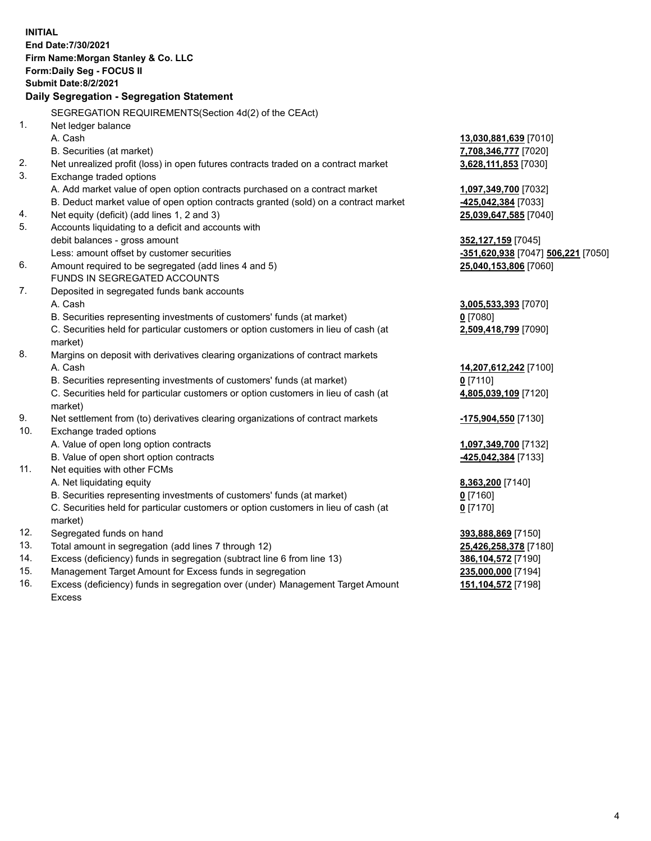|     | <b>INITIAL</b><br>End Date: 7/30/2021<br>Firm Name: Morgan Stanley & Co. LLC<br><b>Form:Daily Seg - FOCUS II</b><br><b>Submit Date:8/2/2021</b> |                                                 |
|-----|-------------------------------------------------------------------------------------------------------------------------------------------------|-------------------------------------------------|
|     | Daily Segregation - Segregation Statement                                                                                                       |                                                 |
|     | SEGREGATION REQUIREMENTS (Section 4d(2) of the CEAct)                                                                                           |                                                 |
| 1.  | Net ledger balance                                                                                                                              |                                                 |
|     | A. Cash                                                                                                                                         | <u>13,030,881,639</u> [7010]                    |
|     | B. Securities (at market)                                                                                                                       | 7,708,346,777 [7020]                            |
| 2.  | Net unrealized profit (loss) in open futures contracts traded on a contract market                                                              | 3,628,111,853 [7030]                            |
| 3.  | Exchange traded options                                                                                                                         |                                                 |
|     | A. Add market value of open option contracts purchased on a contract market                                                                     | 1,097,349,700 [7032]                            |
|     | B. Deduct market value of open option contracts granted (sold) on a contract market                                                             | <u>-425,042,384</u> [7033]                      |
| 4.  | Net equity (deficit) (add lines 1, 2 and 3)                                                                                                     | 25,039,647,585 [7040]                           |
| 5.  | Accounts liquidating to a deficit and accounts with                                                                                             |                                                 |
|     | debit balances - gross amount                                                                                                                   | 352,127,159 [7045]                              |
|     | Less: amount offset by customer securities                                                                                                      | <mark>-351,620,938</mark> [7047] 506,221 [7050] |
| 6.  | Amount required to be segregated (add lines 4 and 5)                                                                                            | 25,040,153,806 [7060]                           |
|     | FUNDS IN SEGREGATED ACCOUNTS                                                                                                                    |                                                 |
| 7.  | Deposited in segregated funds bank accounts                                                                                                     |                                                 |
|     | A. Cash                                                                                                                                         | 3,005,533,393 [7070]                            |
|     | B. Securities representing investments of customers' funds (at market)                                                                          | <u>0</u> [7080]                                 |
|     | C. Securities held for particular customers or option customers in lieu of cash (at<br>market)                                                  | 2,509,418,799 [7090]                            |
| 8.  | Margins on deposit with derivatives clearing organizations of contract markets                                                                  |                                                 |
|     | A. Cash                                                                                                                                         | 14,207,612,242 [7100]                           |
|     | B. Securities representing investments of customers' funds (at market)                                                                          | $0$ [7110]                                      |
|     | C. Securities held for particular customers or option customers in lieu of cash (at<br>market)                                                  | 4,805,039,109 [7120]                            |
| 9.  | Net settlement from (to) derivatives clearing organizations of contract markets                                                                 | <u>-175,904,550</u> [7130]                      |
| 10. | Exchange traded options                                                                                                                         |                                                 |
|     | A. Value of open long option contracts                                                                                                          | 1,097,349,700 [7132]                            |
|     | B. Value of open short option contracts                                                                                                         | <u>-425,042,384</u> [7133]                      |
| 11. | Net equities with other FCMs                                                                                                                    |                                                 |
|     | A. Net liquidating equity                                                                                                                       | 8,363,200 [7140]                                |
|     | B. Securities representing investments of customers' funds (at market)                                                                          | $0$ [7160]                                      |
|     | C. Securities held for particular customers or option customers in lieu of cash (at                                                             | $0$ [7170]                                      |
|     | market)                                                                                                                                         |                                                 |
| 12. | Segregated funds on hand                                                                                                                        | 393,888,869 [7150]                              |
| 13. | Total amount in segregation (add lines 7 through 12)                                                                                            | 25,426,258,378 [7180]                           |
| 14. | Excess (deficiency) funds in segregation (subtract line 6 from line 13)                                                                         | <u>386,104,572</u> [7190]                       |
| 15. | Management Target Amount for Excess funds in segregation                                                                                        | 235,000,000 [7194]                              |

16. Excess (deficiency) funds in segregation over (under) Management Target Amount Excess

**151,104,572** [7198]